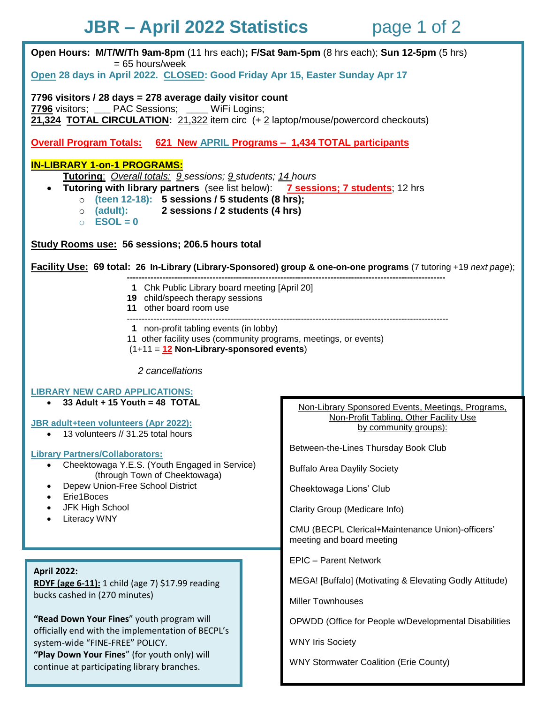# **JBR – April 2022 Statistics** page 1 of 2

**Open Hours: M/T/W/Th 9am-8pm** (11 hrs each)**; F/Sat 9am-5pm** (8 hrs each); **Sun 12-5pm** (5 hrs) = 65 hours/week

**Open 28 days in April 2022. CLOSED: Good Friday Apr 15, Easter Sunday Apr 17**

**7796 visitors / 28 days = 278 average daily visitor count 7796** visitors; **\_\_\_** PAC Sessions; **\_\_\_\_** WiFi Logins; **21,324 TOTAL CIRCULATION:** 21,322 item circ (+ 2 laptop/mouse/powercord checkouts)

**Overall Program Totals: 621 New APRIL Programs – 1,434 TOTAL participants**

### **IN-LIBRARY 1-on-1 PROGRAMS:**

**Tutoring**: *Overall totals: 9 sessions; 9 students; 14 hours*

- **Tutoring with library partners** (see list below): **7 sessions; 7 students**; 12 hrs
	- o **(teen 12-18): 5 sessions / 5 students (8 hrs);**
	- o **(adult): 2 sessions / 2 students (4 hrs)**
	- $\circ$  **ESOL = 0**

**Study Rooms use: 56 sessions; 206.5 hours total**

**Facility Use: 69 total: 26 In-Library (Library-Sponsored) group & one-on-one programs** (7 tutoring +19 *next page*);

- **------------------------------------------------------------------------------------------------------------ 1** Chk Public Library board meeting [April 20]
- **19** child/speech therapy sessions
- **11** other board room use
- -------------------------------------------------------------------------------------------------------------
- **1** non-profit tabling events (in lobby)
- 11 other facility uses (community programs, meetings, or events)
- (1+11 = **12 Non-Library-sponsored events**)

 *2 cancellations*

#### **LIBRARY NEW CARD APPLICATIONS:**

**33 Adult + 15 Youth = 48 TOTAL**

#### **JBR adult+teen volunteers (Apr 2022):**

13 volunteers // 31.25 total hours

#### **Library Partners/Collaborators:**

- Cheektowaga Y.E.S. (Youth Engaged in Service) (through Town of Cheektowaga)
- Depew Union-Free School District
- Erie1Boces
- JFK High School
- Literacy WNY

### **April 2022:**

**RDYF (age 6-11):** 1 child (age 7) \$17.99 reading bucks cashed in (270 minutes)

**"Read Down Your Fines**" youth program will officially end with the implementation of BECPL's system-wide "FINE-FREE" POLICY. **"Play Down Your Fines**" (for youth only) will continue at participating library branches.

#### Non-Library Sponsored Events, Meetings, Programs, Non-Profit Tabling, Other Facility Use by community groups):

Between-the-Lines Thursday Book Club

Buffalo Area Daylily Society

Cheektowaga Lions' Club

Clarity Group (Medicare Info)

CMU (BECPL Clerical+Maintenance Union)-officers' meeting and board meeting

EPIC – Parent Network

MEGA! [Buffalo] (Motivating & Elevating Godly Attitude)

Miller Townhouses

OPWDD (Office for People w/Developmental Disabilities

WNY Iris Society

WNY Stormwater Coalition (Erie County)